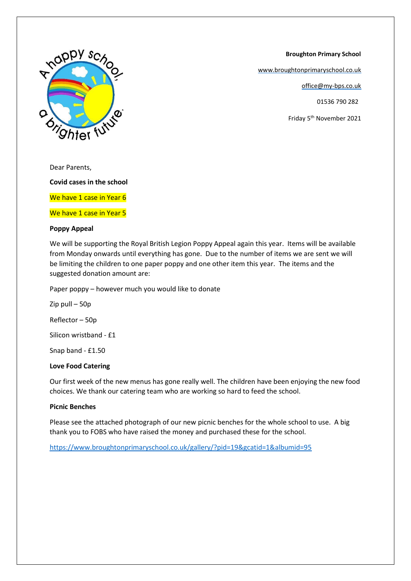

[www.broughtonprimaryschool.co.uk](http://www.broughtonprimaryschool.co.uk/)

office@my-bps.co.uk

01536 790 282

Friday 5th November 2021



Dear Parents,

**Covid cases in the school**

We have 1 case in Year 6

We have 1 case in Year 5

#### **Poppy Appeal**

We will be supporting the Royal British Legion Poppy Appeal again this year. Items will be available from Monday onwards until everything has gone. Due to the number of items we are sent we will be limiting the children to one paper poppy and one other item this year. The items and the suggested donation amount are:

Paper poppy – however much you would like to donate

Zip pull – 50p Reflector – 50p Silicon wristband - £1

Snap band - £1.50

# **Love Food Catering**

Our first week of the new menus has gone really well. The children have been enjoying the new food choices. We thank our catering team who are working so hard to feed the school.

## **Picnic Benches**

Please see the attached photograph of our new picnic benches for the whole school to use. A big thank you to FOBS who have raised the money and purchased these for the school.

<https://www.broughtonprimaryschool.co.uk/gallery/?pid=19&gcatid=1&albumid=95>